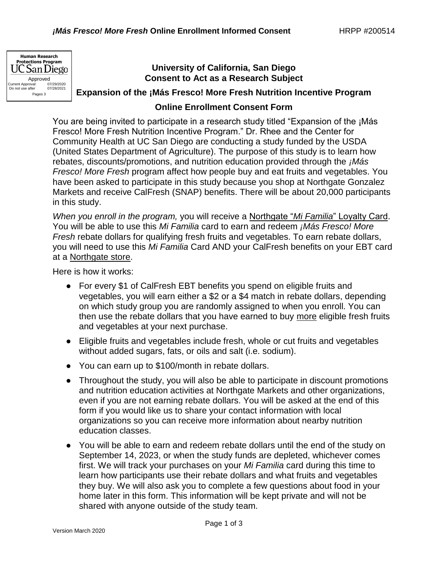

## **University of California, San Diego Consent to Act as a Research Subject**

**Expansion of the ¡Más Fresco! More Fresh Nutrition Incentive Program**

## **Online Enrollment Consent Form**

You are being invited to participate in a research study titled "Expansion of the ¡Más Fresco! More Fresh Nutrition Incentive Program." Dr. Rhee and the Center for Community Health at UC San Diego are conducting a study funded by the USDA (United States Department of Agriculture). The purpose of this study is to learn how rebates, discounts/promotions, and nutrition education provided through the *¡Más Fresco! More Fresh* program affect how people buy and eat fruits and vegetables. You have been asked to participate in this study because you shop at Northgate Gonzalez Markets and receive CalFresh (SNAP) benefits. There will be about 20,000 participants in this study.

*When you enroll in the program,* you will receive a Northgate "*Mi Familia*" Loyalty Card. You will be able to use this *Mi Familia* card to earn and redeem *¡Más Fresco! More Fresh* rebate dollars for qualifying fresh fruits and vegetables. To earn rebate dollars, you will need to use this *Mi Familia* Card AND your CalFresh benefits on your EBT card at a Northgate store.

Here is how it works:

- For every \$1 of CalFresh EBT benefits you spend on eligible fruits and vegetables, you will earn either a \$2 or a \$4 match in rebate dollars, depending on which study group you are randomly assigned to when you enroll. You can then use the rebate dollars that you have earned to buy more eligible fresh fruits and vegetables at your next purchase.
- Eligible fruits and vegetables include fresh, whole or cut fruits and vegetables without added sugars, fats, or oils and salt (i.e. sodium).
- You can earn up to \$100/month in rebate dollars.
- Throughout the study, you will also be able to participate in discount promotions and nutrition education activities at Northgate Markets and other organizations, even if you are not earning rebate dollars. You will be asked at the end of this form if you would like us to share your contact information with local organizations so you can receive more information about nearby nutrition education classes.
- You will be able to earn and redeem rebate dollars until the end of the study on September 14, 2023, or when the study funds are depleted, whichever comes first. We will track your purchases on your *Mi Familia* card during this time to learn how participants use their rebate dollars and what fruits and vegetables they buy. We will also ask you to complete a few questions about food in your home later in this form. This information will be kept private and will not be shared with anyone outside of the study team.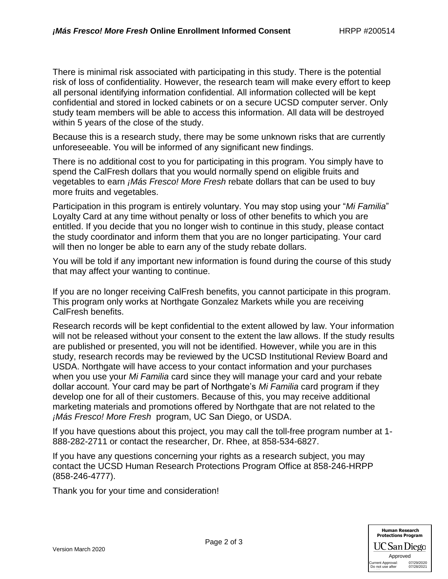There is minimal risk associated with participating in this study. There is the potential risk of loss of confidentiality. However, the research team will make every effort to keep all personal identifying information confidential. All information collected will be kept confidential and stored in locked cabinets or on a secure UCSD computer server. Only study team members will be able to access this information. All data will be destroyed within 5 years of the close of the study.

Because this is a research study, there may be some unknown risks that are currently unforeseeable. You will be informed of any significant new findings.

There is no additional cost to you for participating in this program. You simply have to spend the CalFresh dollars that you would normally spend on eligible fruits and vegetables to earn *¡Más Fresco! More Fresh* rebate dollars that can be used to buy more fruits and vegetables.

Participation in this program is entirely voluntary. You may stop using your "*Mi Familia*" Loyalty Card at any time without penalty or loss of other benefits to which you are entitled. If you decide that you no longer wish to continue in this study, please contact the study coordinator and inform them that you are no longer participating. Your card will then no longer be able to earn any of the study rebate dollars.

You will be told if any important new information is found during the course of this study that may affect your wanting to continue.

If you are no longer receiving CalFresh benefits, you cannot participate in this program. This program only works at Northgate Gonzalez Markets while you are receiving CalFresh benefits.

Research records will be kept confidential to the extent allowed by law. Your information will not be released without your consent to the extent the law allows. If the study results are published or presented, you will not be identified. However, while you are in this study, research records may be reviewed by the UCSD Institutional Review Board and USDA. Northgate will have access to your contact information and your purchases when you use your *Mi Familia* card since they will manage your card and your rebate dollar account. Your card may be part of Northgate's *Mi Familia* card program if they develop one for all of their customers. Because of this, you may receive additional marketing materials and promotions offered by Northgate that are not related to the *¡Más Fresco! More Fresh* program, UC San Diego, or USDA.

If you have questions about this project, you may call the toll-free program number at 1- 888-282-2711 or contact the researcher, Dr. Rhee, at 858-534-6827.

If you have any questions concerning your rights as a research subject, you may contact the UCSD Human Research Protections Program Office at 858-246-HRPP (858-246-4777).

Thank you for your time and consideration!